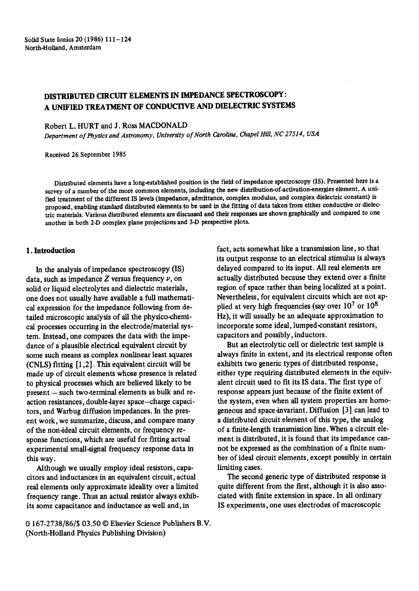# DISTRIBUTED CIRCUIT ELEMENTS IN IMPEDANCE **SPECTROSCOPY:**  A UNIFIED TREATMENT OF CONDUCTIVE AND DIELECTRIC **SYSTEMS**

Robert L. HURT and J. Ross MACDONALD

*Department of Physics and Astronomy, University of North Carolina, Chapel Hill, NC 27514, USA* 

Received 26 September 1985

Distributed elements have a long-established position in the field of impedance spectroscopy (IS). Presented here is a survey of a number of the more common elements, including the new distribution-of-activation-energies element. A unified treatment of the different IS levels (impedance, admittance, complex modulus, and complex dielectric constant) is proposed, enabling standard distributed elements to be used in the fitting of data taken from either conductive or dielectric materials. Various distributed elements are discussed and their responses are shown graphically and compared to one another in both 2-I) complex plane projections and 3-D perspective plots.

## **1. Introduction**

In the analysis of impedance spectroscopy (IS) data, such as impedance  $Z$  versus frequency  $\nu$ , on solid or liquid electrolytes and dielectric materials, one does not usually have available a full mathematical expression for the impedance following from detailed microscopic analysis of all the physico-chemical processes occurring in the electrode/material system. Instead, one compares the data with the impedance of a plausible electrical equivalent circuit by some such means as complex nonlinear least squares (CNLS) fitting [1,2]. This equivalent circuit will be made up of circuit elements whose presence is related to physical processes which are believed likely to be  $present - such two-terminal elements as bulk and re$ action resistances, double-layer space-charge capacitors, and Warbug diffusion impedances. In the present work, we summarize, discuss, and compare many of the non-ideal circuit elements, or frequency response functions, which are useful for fitting actual experimental small-signal frequency response data in this way.

Although we usually employ ideal resistors, capacitors and inductances in an equivalent circuit, actual real elements only approximate ideality over a limited frequency range. Thus an actual resistor always exhibits some capacitance and inductance as well and, in

0 167-2738/86/\$ 03.50 © Elsevier Science Publishers B.V. (North-Holland Physics Publishing Division)

fact, acts somewhat like a transmission line, so that its output response to an electrical stimulus is always delayed compared to its input. All real elements are actually distributed because they extend over a finite region of space rather than being localized at a point. Nevertheless, for equivalent circuits which are not applied at very high frequencies (say over  $10^7$  or  $10^8$ Hz), it will usually be an adequate approximation to incorporate some ideal, lumped-constant resistors, capacitors and possibly, inductors.

But an electrolytic cell or dielectric test sample is always finite in extent, and its electrical response often exhibits two generic types of distributed response, either type requiring distributed elements in the equivalent circuit used to fit its IS data. The first type of response appears just because of the finite extent of the system, even when all system properties are homogeneous and space-invariant. Diffusion [3] can lead to a distributed circuit element of this type, the analog of a finite-length transmission line. When a circuit element is distributed, it is found that its impedance cannot be expressed as the combination of a finite number of ideal circuit elements, except possibly in certain limiting cases.

The second generic type of distributed response is quite different from the first, although it is also associated with finite extension in space. In all ordinary IS experiments, one uses electrodes of macroscopic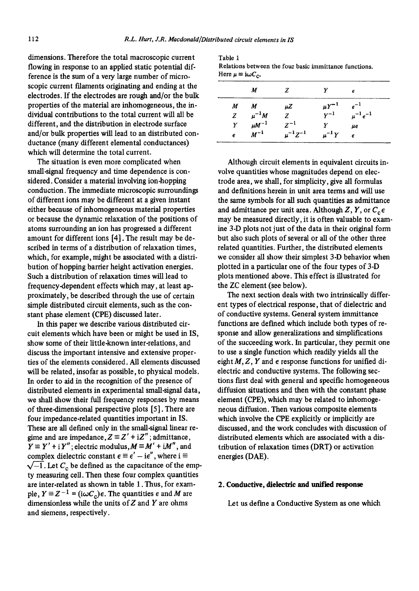dimensions. Therefore the total macroscopic current flowing in response to an applied static potential difference is the sum of a very large number of microscopic current filaments originating and ending at the electrodes. If the electrodes are rough and/or the bulk properties of the material are inhomogeneous, the individual contributions to the total current will all be different, and the distribution in electrode surface and/or bulk properties will lead to an distributed conductance (many different elemental conductances) which will determine the total current.

The situation is even more complicated when small-signal frequency and time dependence is considered. Consider a material involving ion-hopping conduction. The immediate microscopic surroundings of different ions may be different at a given instant either because of inhomogeneous material properties or because the dynamic relaxation of the positions of atoms surrounding an ion has progressed a different amount for different ions [4]. The result may be described in terms of a distribution of relaxation times, which, for example, might be associated with a distribution of hopping barrier height activation energies. Such a distribution of relaxation times will lead to frequency-dependent effects which may, at least approximately, be described through the use of certain simple distributed circuit elements, such as the constant phase element (CPE) discussed later.

In this paper we describe various distributed circuit elements which have been or might be used in IS, show some of their little-known inter-relations, and discuss the important intensive and extensive properties of the elements considered. All elements discussed will be related, insofar as possible, to physical models. In order to aid in the recognition of the presence of distributed elements in experimental small-signal data, we shall show their full frequency responses by means of three-dimensional perspective plots [5]. There are four impedance-related quantities important in IS. These are all defined only in the small-signal linear regime and are impedance,  $Z \equiv Z' + iZ''$ ; admittance,  $Y \equiv Y' + iY''$ ; electric modulus,  $M \equiv M' + iM''$ , and complex dielectric constant  $\epsilon \equiv \epsilon' - i\epsilon''$ , where  $i \equiv$  $\sqrt{-1}$ . Let  $C_c$  be defined as the capacitance of the empty measuring cell. Then these four complex quantities are inter-related as shown in table 1. Thus, for example,  $Y = Z^{-1} = (i\omega C_c)\epsilon$ . The quantities  $\epsilon$  and M are dimensionless while the units of  $Z$  and  $Y$  are ohms and siemens, respectively.

| Table 1                                                |  |
|--------------------------------------------------------|--|
| Relations between the four basic immittance functions. |  |
| Here $\mu = i\omega C_0$ .                             |  |

|              | M            | Z                |              | е                 |
|--------------|--------------|------------------|--------------|-------------------|
| M            | M            | μZ               | $\mu Y^{-1}$ | $e^{-1}$          |
| $\mathbf{z}$ | $\mu^{-1}M$  | Z.               | $Y^{-1}$     | $\mu^{-1} e^{-1}$ |
| Y            | $\mu M^{-1}$ | $Z^{-1}$         |              | μе                |
| e            | $M^{-1}$     | $\mu^{-1}Z^{-1}$ | $\mu^{-1}Y$  | E                 |

Although circuit elements in equivalent circuits involve quantities whose magnitudes depend on electrode area, we shall, for simplicity, give all formulas and definitions herein in unit area terms and will use the same symbols for all such quantities as admittance and admittance per unit area. Although Z, Y, or  $C_c \epsilon$ may be measured directly, it is often valuable to examine 3-D plots not just of the data in their original form but also such plots of several or all of the other three related quantities. Further, the distributed elements we consider all show their simplest 3-D behavior when plotted in a particular one of the four types of 3-D plots mentioned above. This effect is illustrated for the ZC element (see below).

The next section deals with two intrinsically different types of electrical response, that of dielectric and of conductive systems. General system immittance functions are defined which include both types of response and allow generalizations and simplifications of the succeeding work. In particular, they permit one to use a single function which readily yields all the eight  $M, Z, Y$  and  $\epsilon$  response functions for unified dielectric and conductive systems. The following sections first deal with general and specific homogeneous diffusion situations and then with the constant phase element (CPE), which may be related to inhomogeneous diffusion. Then various composite elements which involve the CPE explicitly or implicitly are discussed, and the work concludes with discussion of distributed elements which are associated with a distribution of relaxation times (DRT) or activation energies (DAE).

### **2. Conductive, dielectric and unified response**

Let us define a Conductive System as one which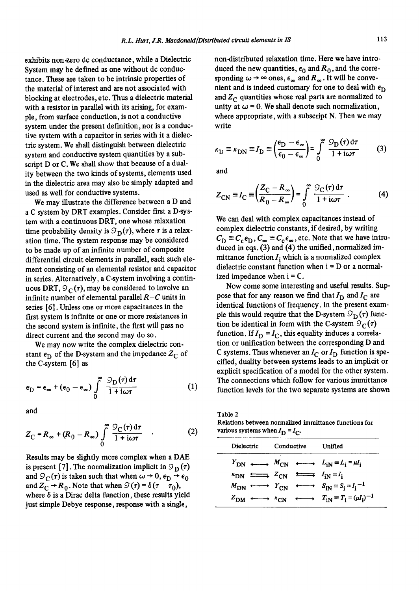exhibits non.zero dc conductance, while a Dielectric System may be defined as one without dc conductance. These are taken to be intrinsic properties of the material of interest and are not associated with blocking at electrodes, etc. Thus a dielectric material with a resistor in parallel with its arising, for example, from surface conduction, is not a conductive system under the present definition, nor is a conductive system with a capacitor in series with it a dielectric system. We shall distinguish between dielectric system and conductive system quantities by a subscript D or C. We shall show that because of a duality between the two kinds of systems, elements used in the dielectric area may also be simply adapted and used as well for conductive systems.

We may illustrate the difference between a D and a C system by DRT examples. Consider first a D-system with a continuous DRT, one whose relaxation time probability density is  $\mathcal{D}_{\mathbf{D}}(\tau)$ , where  $\tau$  is a relaxation time. The system response may be considered to be made up of an infinite number of composite differential circuit elements in parallel, each such element consisting of an elemental resistor and capacitor in series. Alternatively, a C-system involving a continuous DRT,  $\mathcal{D}_{\mathbb{C}}(\tau)$ , may be considered to involve an infinite number of elemental parallel *R-C* units in series [6]. Unless one or more capacitances in the first system is infinite or one or more resistances in the second system is infinite, the first will pass no direct current and the second may do so.

We may now write the complex dielectric constant  $\epsilon_{\text{D}}$  of the D-system and the impedance  $Z_{\text{C}}$  of the C-system [6] as

$$
\epsilon_{\mathcal{D}} = \epsilon_{\infty} + (\epsilon_0 - \epsilon_{\infty}) \int_{0}^{\infty} \frac{\mathcal{D}_{\mathcal{D}}(\tau) d\tau}{1 + i\omega\tau}
$$
 (1)

and

$$
Z_{\rm C} = R_{\infty} + (R_0 - R_{\infty}) \int\limits_{0}^{\infty} \frac{\mathcal{D}_{\rm C}(\tau) d\tau}{1 + i\omega\tau} \quad . \tag{2}
$$

Results may be slightly more complex when a DAE is present [7]. The normalization implicit in  $\mathcal{D}_{\mathbf{D}}(\tau)$ and  $\mathcal{G}_{\mathcal{C}}(\tau)$  is taken such that when  $\omega \to 0$ ,  $\epsilon_{\mathcal{D}} \to \epsilon_0$ and  $Z_C \rightarrow R_0$ . Note that when  $\mathcal{Q}(\tau) = \delta(\tau - \tau_0)$ , where  $\delta$  is a Dirac delta function, these results yield just simple Debye response, response with a single,

non-distributed relaxation time. Here we have introduced the new quantities,  $\epsilon_0$  and  $R_0$ , and the corresponding  $\omega \rightarrow \infty$  ones,  $\epsilon_{\infty}$  and  $R_{\infty}$ . It will be convenient and is indeed customary for one to deal with  $\epsilon_{D}$ and  $Z_C$  quantities whose real parts are normalized to unity at  $\omega = 0$ . We shall denote such normalization, where appropriate, with a subscript N. Then we may write

$$
\kappa_{\rm D} \equiv \kappa_{\rm DN} \equiv I_{\rm D} \equiv \left(\frac{\epsilon_{\rm D} - \epsilon_{\infty}}{\epsilon_0 - \epsilon_{\infty}}\right) = \int_0^{\infty} \frac{S_{\rm D}(\tau) d\tau}{1 + i\omega\tau} \tag{3}
$$

and

$$
Z_{\text{CN}} \equiv I_{\text{C}} \equiv \left(\frac{Z_{\text{C}} - R_{\infty}}{R_0 - R_{\infty}}\right) = \int_{0}^{\infty} \frac{\mathcal{D}_{\text{C}}(\tau) d\tau}{1 + i\omega\tau} \ . \tag{4}
$$

We can deal with complex capacitances instead of complex dielectric constants, if desired, by writing  $C_{\rm D} \equiv C_{\rm c} \epsilon_{\rm D}$ ,  $C_{\infty} \equiv C_{\rm c} \epsilon_{\infty}$ , etc. Note that we have introduced in eqs. (3) and (4) the unified, normalized immittance function  $I_i$  which is a normalized complex dielectric constant function when  $i = D$  or a normalized impedance when  $i = C$ .

Now come some interesting and useful results. Suppose that for any reason we find that  $I_D$  and  $I_C$  are identical functions of frequency. In the present example this would require that the D-system  $\mathcal{D}_{\mathbf{D}}(\tau)$  function be identical in form with the C-system  $\mathcal{D}_{\mathbb{C}}(\tau)$ function. If  $I_D = I_C$ , this equality induces a correlation or unification between the corresponding D and C systems. Thus whenever an  $I_C$  or  $I_D$  function is specified, duality between systems leads to an implicit or explicit specification of a model for the other system. The connections which follow for various immittance function levels for the two separate systems are shown

Table 2 Relations between normalized immittance functions for various systems when  $I_D = I_C$ .

|                                                                        |            | . . |                                                                                                                                  |
|------------------------------------------------------------------------|------------|-----|----------------------------------------------------------------------------------------------------------------------------------|
| Dielectric                                                             | Conductive |     | Unified                                                                                                                          |
|                                                                        |            |     | $Y_{\text{DN}} \longleftrightarrow M_{\text{CN}} \longleftrightarrow L_{\text{IN}} \equiv L_{\text{i}} \approx \mu I_{\text{i}}$ |
| $K_{DN} \xrightarrow{L_{CN}} Z_{CN} \xrightarrow{L_{IN}} I_{iN} = I_i$ |            |     |                                                                                                                                  |
|                                                                        |            |     | $M_{\text{DN}} \longleftrightarrow Y_{\text{CN}} \longleftrightarrow S_{\text{IN}} \equiv S_i = I_i^{-1}$                        |
| $z_{DM}$                                                               |            |     | $\longleftrightarrow$ $\kappa_{\text{CN}}$ $\longleftrightarrow$ $T_{\text{iN}} \equiv T_{\text{i}} = (\mu I_{\text{i}})^{-1}$   |
|                                                                        |            |     |                                                                                                                                  |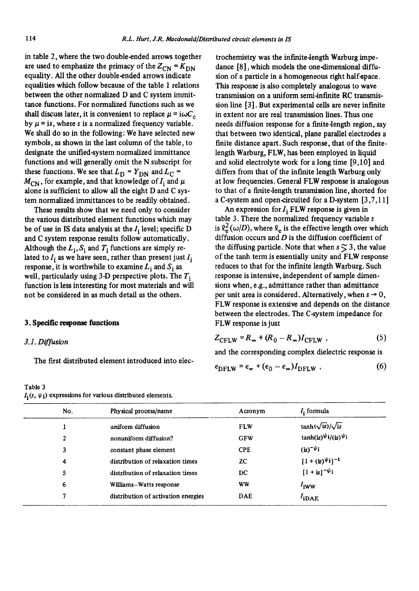in table 2, where the two double-ended arrows together are used to emphasize the primacy of the  $Z_{CN} = K_{DN}$ equality. All the other double-ended arrows indicate equalities which follow because of the table 1 relations between the other normalized D and C system immittance functions. For normalized functions such as we shall discuss later, it is convenient to replace  $\mu = i\omega C_c$ by  $\mu$  = is, where s is a normalized frequency variable. We shall do so in the following: We have selected new symbols, as shown in the last column of the table, to designate the unified-system normalized immittance functions and will generally omit the N subscript for these functions. We see that  $L_D = Y_{DN}$  and  $L_C =$  $M_{\text{CN}}$ , for example, and that knowledge of  $I_i$  and  $\mu$ alone is sufficient to allow all the eight D and C system normalized immittances to be readily obtained.

These results show that we need only to consider the various distributed element functions which may be of use in IS data analysis at the  $I_i$  level; specific D and C system response results follow automatically. Although the  $L_i$ ,  $S_i$  and  $T_i$  functions are simply related to  $I_i$  as we have seen, rather than present just  $I_i$ response, it is worthwhile to examine  $L_i$  and  $S_i$  as well, particularly using 3-D perspective plots. The  $T_i$ function is less interesting for most materials and will not be considered in as much detail as the others.

## 3. Spedfie response functions

## *3.1. Diffusion*

The first distributed element introduced into dec-

Table 3  $I_i(s, \psi_i)$  expressions for various distributed elements.

trochemistry was the infinite-length Warburg impedance [8], which models the one-dimensional diffusion of a particle in a homogeneous right half-space. This response is also completely analogous to wave transmission on a uniform semi-infinite RC transmission line [3]. But experimental cells are never infinite in extent nor are real transmission lines. Thus one needs diffusion response for a finite-length region, say that between two identical, plane parallel electrodes a finite distance apart. Such response, that of the finitelength Warburg, FLW, has been employed in liquid and solid electrolyte work for a long time [9,10] and differs from that of the infinite length Warburg only at low frequencies. General FLW response is analogous to that of a finite-length transmission line, shorted for a C-system and open-circuited for a D-system [3,7,11]

An expression for  $I_i$  FLW response is given in table 3. There the normalized frequency variable s is  $\ell_{\rm e}^2(\omega/D)$ , where  $\ell_{\rm e}$  is the effective length over which diffusion occurs and  $D$  is the diffusion coefficient of the diffusing particle. Note that when  $s \lesssim 3$ , the value of the tanh term is essentially unity and FLW response reduces to that for the infinite length Warburg. Such response is intensive, independent of sample dimensions when, e.g., admittance rather than admittance per unit area is considered. Alternatively, when  $s \rightarrow 0$ , FLW response is extensive and depends on the distance between the electrodes. The C-system impedance for FLW response is just

$$
Z_{\text{CFLW}} = R_{\infty} + (R_0 - R_{\infty}) I_{\text{CFLW}} \tag{5}
$$

and the corresponding complex dielectric response is

$$
\epsilon_{\text{DFLW}} = \epsilon_{\infty} + (\epsilon_0 - \epsilon_{\infty}) I_{\text{DFLW}} , \qquad (6)
$$

| No. | Physical process/name               | Acronym    | $Ii$ formula                    |
|-----|-------------------------------------|------------|---------------------------------|
|     | uniform diffusion                   | <b>FLW</b> | $\tanh(\sqrt{is})/\sqrt{is}$    |
| 2   | nonuniform diffusion?               | <b>GFW</b> | $tanh(iS)^{\psi}i/(is)^{\psi}i$ |
| 3   | constant phase element              | <b>CPE</b> | $(is)^{-\psi}i$                 |
| 4   | distribution of relaxation times    | ZC.        | $[1 + (is)^{\psi}i]^{-1}$       |
| 5   | distribution of relaxation times    | DC         | $[1 + is]^{-\psi_1}$            |
| 6   | Williams-Watts response             | <b>WW</b>  | $I_{iWW}$                       |
| 7   | distribution of activation energies | DAE        | $I_{iDAE}$                      |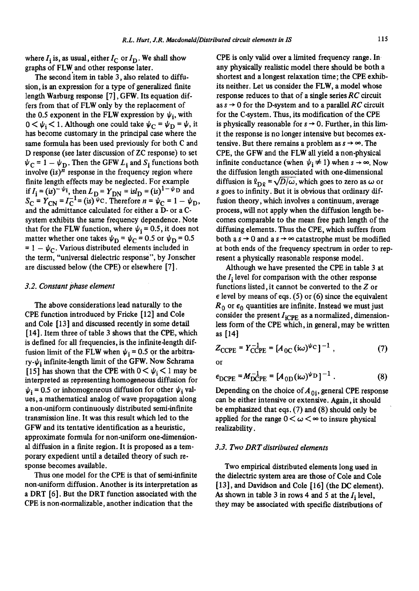where  $I_i$  is, as usual, either  $I_C$  or  $I_D$ . We shall show graphs of FLW and other response later.

The second'item in table 3, also related to diffusion, is an expression for a type of generalized finite length Warburg response [7], GFW. Its equation differs from that of FLW only by the replacement of the 0.5 exponent in the FLW expression by  $\psi_i$ , with  $0 < \psi_i < 1$ . Although one could take  $\psi_C = \psi_D = \psi$ , it has become customary in the principal case where the same formula has been used previously for both C and D response (see later discussion of ZC response) to set  $\psi_C = 1 - \psi_D$ . Then the GFW  $L_i$  and  $S_i$  functions both involve  $(is)^n$  response in the frequency region where finite length effects may be neglected. For example if  $I_i = (is)^{-\psi}i$ , then  $L_D = Y_{DN} = isi_D = (is)^{-\psi}D$  and  $S_{\rm C}$  =  $Y_{\rm CN}$  =  $I_{\rm C}^{-1}$  = (is)  $\psi$ C. Therefore  $n = \psi_{\rm C} = 1 - \psi_{\rm D}$ , and the admittance calculated for either a D- or a Csystem exhibits the same frequency dependence. Note that for the FLW function, where  $\psi_i = 0.5$ , it does not matter whether one takes  $\psi_{\rm D} = \psi_{\rm C} = 0.5$  or  $\psi_{\rm D} = 0.5$  $= 1 - \psi_C$ . Various distributed elements included in the term, "universal dielectric response", by Jonscher are discussed below (the CPE) or elsewhere [7].

## *3.2. Constant phase element*

The above considerations lead naturally to the CPE function introduced by Fricke [12] and Cole and Cole [13] and discussed recently in some detail [14]. Item three of table 3 shows that the CPE, which is defined for all frequencies, is the infinite-length diffusion limit of the FLW when  $\psi_i = 0.5$  or the arbitrary- $\psi_i$  infinite-length limit of the GFW. Now Schrama [15] has shown that the CPE with  $0 < \psi_i < 1$  may be interpreted as representing homogeneous diffusion for  $\psi_i = 0.5$  or inhomogeneous diffusion for other  $\psi_i$  values, a mathematical analog of wave propagation along a non-uniform continuously distributed semi-infinite transmission line. It was this result which led to the GFW and its tentative identification as a heuristic, approximate formula for non-uniform one-dimensional diffusion in a finite region. It is proposed as a temporary expedient until a detailed theory of such response becomes available.

Thus one model for the CPE is that of semi-infinite non-uniform diffusion. Another is its interpretation as a DRT [6]. But the DRT function associated with the CPE is non-normalizable, another indication that the

CPE is only valid over a limited frequency range. In any physically realistic model there should be both a shortest and a longest relaxation time; the CPE exhibits neither. Let us consider the FLW, a model whose response reduces to that of a single series *RC* circuit as  $s \rightarrow 0$  for the D-system and to a parallel *RC* circuit for the C-system. Thus, its modification of the CPE is physically reasonable for  $s \rightarrow 0$ . Further, in this limit the response is no longer intensive but becomes extensive. But there remains a problem as  $s \rightarrow \infty$ . The CPE, the GFW and the FLW all yield a non-physical infinite conductance (when  $\psi_i \neq 1$ ) when  $s \rightarrow \infty$ . Now the diffusion length associated with one-dimensional diffusion is  $\ell_{\text{D}0} = \sqrt{D/\omega}$ , which goes to zero as  $\omega$  or s goes to infinity. But it is obvious that ordinary diffusion theory, which involves a continuum, average process, will not apply when the diffusion length becomes comparable to the mean free path length of the diffusing elements. Thus the CPE, which suffers from both a  $s \rightarrow 0$  and a  $s \rightarrow \infty$  catastrophe must be modified at both ends of the frequency spectrum in order to rep. resent a physically reasonable response model.

Although we have presented the CPE in table 3 at the  $I_i$  level for comparison with the other response functions listed, it cannot be converted to the  $Z$  or  $\epsilon$  level by means of eqs. (5) or (6) since the equivalent  $R_0$  or  $\epsilon_0$  quantities are infinite. Instead we must just consider the present  $I_{iCPE}$  as a normalized, dimensionless form of the CPE which, in general, may be written as [14]

$$
Z_{\text{CCPE}} = Y_{\text{CCPE}}^{-1} = [A_{0C} (i\omega)^{\psi_{\text{C}}}]^{-1} , \qquad (7)
$$

or

$$
\epsilon_{\text{DCPE}} = M_{\text{DCPE}}^{-1} = [A_{\text{0D}}(i\omega)^{\psi_{\text{D}}}]^{-1} \,. \tag{8}
$$

Depending on the choice of  $A_{0i}$ , general CPE response can be either intensive or extensive. Again, it should be emphasized that eqs. (7) and (8) should only be applied for the range  $0 < \omega < \infty$  to insure physical realizability.

## *3.3. Two DRT distributed elements*

Two empirical distributed elements long used in the dielectric system area are those of Cole and Cole  $[13]$ , and Davidson and Cole  $[16]$  (the DC element). As shown in table 3 in rows 4 and 5 at the  $I_i$  level, they may be associated with specific distributions of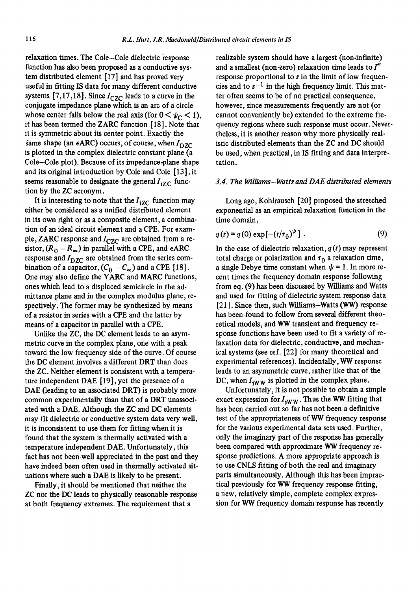relaxation times. The Cole-Cole dielectric response function has also been proposed as a conductive system distributed element [17] and has proved very useful in fitting IS data for many different conductive systems [7,17,18]. Since  $I_{CZC}$  leads to a curve in the conjugate impedance plane which is an arc of a circle whose center falls below the real axis (for  $0 < \psi_c < 1$ ), it has been termed the ZARC function [18]. Note that it is symmetric about its center point. Exactly the same shape (an  $\epsilon$ ARC) occurs, of course, when  $I_{\text{DZC}}$ is plotted in the complex dielectric constant plane (a Cole-Cole plot). Because of its impedance-plane shape and its original introduction by Cole and Cole [13], it seems reasonable to designate the general  $I_{iZC}$  function by the ZC acronym.

It is interesting to note that the  $I_{iZC}$  function may either be considered as a unified distributed element in its own right or as a composite element, a combination of an ideal circuit element and a CPE. For example, ZARC response and  $I_{CZC}$  are obtained from a resistor,  $(R_0 - R_{\infty})$  in parallel with a CPE, and  $\epsilon$ ARC response and  $I_{\text{DZC}}$  are obtained from the series combination of a capacitor,  $(C_0 - C_{\infty})$  and a CPE [18]. One may also define the YARC and MARC functions, ones which lead to a displaced semicircle in the admittance plane and in the complex modulus plane, respectively. The former may be synthesized by means of a resistor in series with a CPE and the latter by means of a capacitor in parallel with a CPE.

Unlike the ZC, the DC element leads to an asymmetric curve in the complex plane, one with a peak toward the low frequency side of the curve. Of course the DC element involves a different DRT than does the ZC. Neither element is consistent with a temperature independent DAE [19], yet the presence of a DAE (leading to an associated DRT) is probably more common experimentally than that of a DRT unassociated with a DAE. Although the ZC and DC elements may fit dielectric or conductive system data very well, it is inconsistent to use them for fitting when it is found that the system is thermally activated with a temperature independent DAE. Unfortunately, this fact has not been well appreciated in the past and they have indeed been often used in thermally activated situations where such a DAE is likely to be present.

Finally, it should be mentioned that neither the ZC nor the DC leads to physically reasonable response at both frequency extremes. The requirement that a

realizable system should have a largest (non-infinite) and a smallest (non-zero) relaxation time leads to  $I''$ response proportional to s in the limit of low frequencies and to  $s^{-1}$  in the high frequency limit. This matter often seems to be of no practical consequence, however, since measurements frequently are not (or cannot conveniently be) extended to the extreme frequency regions where such response must occur. Nevertheless, it is another reason why more physically realistic distributed elements than the ZC and DC should be used, when practical, in IS fitting and data interpretation.

#### *3.4. The Williams- Watts and DAE distributed elements*

Long ago, Kohlrausch [20] proposed the stretched exponential as an empirical relaxation function in the time domain,

$$
q(t) = q(0) \exp[-(t/\tau_0)^{\psi}].
$$
 (9)

In the case of dielectric relaxation,  $q(t)$  may represent total charge or polarization and  $\tau_0$  a relaxation time, a single Debye time constant when  $\psi = 1$ . In more recent times the frequency domain response following from eq. (9) has been discussed by Williams and Watts and used for fitting of dielectric system response data [21]. Since then, such Williams-Watts (WW) response has been found to follow from several different theoretical models, and WW transient and frequency response functions have been used to fit a variety of relaxation data for dielectric, conductive, and mechanical systems (see ref. [22] for many theoretical and experimental references). Incidentally, WW response leads to an asymmetric curve, rather like that of the DC, when  $I_{iWW}$  is plotted in the complex plane.

Unfortunately, it is not possible to obtain a simple exact expression for  $I_{iWW}$ . Thus the WW fitting that has been carried out so far has not been a definitive test of the appropriateness of WW frequency response for the various experimental data sets used. Further, only the imaginary part of the response has generally been compared with approximate WW frequency response predictions. A more appropriate approach is to use CNLS fitting of both the real and imaginary parts simultaneously. Although this has been impractical previously for WW frequency response fitting, a new, relatively simple, complete complex expression for WW frequency domain response has recently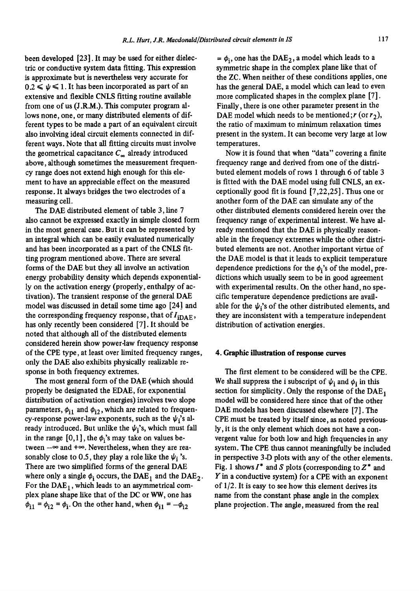been developed [23]. It may be used for either dielectric or conductive system data fitting. This expression is approximate but is nevertheless very accurate for  $0.2 \leq \psi \leq 1$ . It has been incorporated as part of an extensive and flexible CNLS fitting routine available from one of us (J.R.M.). This computer program allows none, one, or many distributed elements of different types to be made a part of an equivalent circuit also involving ideal circuit elements connected in different ways. Note that all fitting circuits must involve the geometrical capacitance  $C_{\infty}$  already introduced above, although sometimes the measurement frequency range does not extend high enough for this element to have an appreciable effect on the measured response. It always bridges the two electrodes of a measuring cell.

The DAE distributed element of table 3, line 7 also cannot be expressed exactly in simple closed form in the most general case. But it can be represented by an integral which can be easily evaluated numerically and has been incorporated as a part of the CNLS fitting program mentioned above. There are several forms of the DAE but they all involve an activation energy probability density which depends exponentially on the activation energy (properly, enthalpy of activation). The transient response of the general DAE model was discussed in detail some time ago [24] and the corresponding frequency response, that of  $I_{iDAE}$ , has only recently been considered [7]. It should be noted that although all of the distributed elements considered herein show power-law frequency response of the CPE type, at least over limited frequency ranges, only the DAE also exhibits physically realizable response in both frequency extremes.

The most general form of the DAE (which should properly be designated the EDAE, for exponential distribution of activation energies) involves two slope parameters,  $\phi_{i1}$  and  $\phi_{i2}$ , which are related to frequency-response power-law exponents, such as the  $\psi_i$ 's already introduced. But unlike the  $\psi_i$ 's, which must fall in the range  $[0,1]$ , the  $\phi_i$ 's may take on values between  $-\infty$  and  $+\infty$ . Nevertheless, when they are reasonably close to 0.5, they play a role like the  $\psi_i$ 's. There are two simplified forms of the general DAE where only a single  $\phi_i$  occurs, the DAE<sub>1</sub> and the DAE<sub>2</sub>. For the  $DAE<sub>1</sub>$ , which leads to an asymmetrical complex plane shape like that of the DC or WW, one has  $\phi_{i1} = \phi_{i2} = \phi_i$ . On the other hand, when  $\phi_{i1} = -\phi_{i2}$ 

=  $\phi_i$ , one has the DAE<sub>2</sub>, a model which leads to a symmetric shape in the complex plane like that of the ZC. When neither of these conditions applies, one has the general DAE, a model which can lead to even more complicated shapes in the complex plane [7]. Finally, there is one other parameter present in the DAE model which needs to be mentioned;  $r$  (or  $r_2$ ), the ratio of maximum to minimum relaxation times present in the system. It can become very large at low temperatures.

Now it is found that when "data" covering a finite frequency range and derived from one of the distributed element models of rows 1 through 6 of table 3 is fitted with the DAE model using full CNLS, an exceptionally good fit is found [7,22,25]. Thus one or another form of the DAE can simulate any of the other distributed elements considered herein over the frequency range of experimental interest. We have already mentioned that the DAE is physically reasonable in the frequency extremes while the other distributed elements are not. Another important virtue of the DAE model is that it leads to explicit temperature dependence predictions for the  $\phi_i$ 's of the model, predictions which usually seem to be in good agreement with experimental results. On the other hand, no specific temperature dependence predictions are available for the  $\psi_i$ 's of the other distributed elements, and they are inconsistent with a temperature independent distribution of activation energies.

## **4. Graphic illustration of response curves**

The first element to be considered will be the CPE. We shall suppress the i subscript of  $\psi_i$  and  $\phi_i$  in this section for simplicity. Only the response of the  $DAE_1$ model will be considered here since that of the other DAE models has been discussed elsewhere [7]. The CPE must be treated by itself since, as noted previously, it is the only element which does not have a convergent value for both low and high frequencies in any system. The CPE thus cannot meaningfully be included in perspective 3-D plots with any of the other elements. Fig. 1 shows  $I^*$  and S plots (corresponding to  $Z^*$  and Y in a conductive system) for a CPE with an exponent of 1/2. It is easy to *see* how this element derives its name from the constant phase angle in the complex plane projection. The angle, measured from the real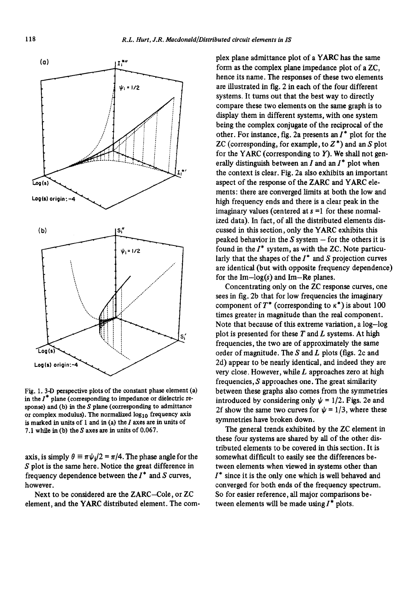

Fig. 1.3-D perspective plots of the constant phase element (a) in the  $I^*$  plane (corresponding to impedance or dielectric response) and (b) in the S plane (corresponding to admittance or complex modulus). The normalized  $log_{10}$  frequency axis is marked in units of 1 and in (a) the  $I$  axes are in units of 7.1 while in (b) the S axes are in units of 0.067.

axis, is simply  $\theta \equiv \pi \psi_i/2 = \pi/4$ . The phase angle for the S plot is the same here. Notice the great difference in frequency dependence between the  $I^*$  and S curves, however.

Next to be considered are the ZARC-Cole, or ZC element, and the YARC distributed element. The com-

plex plane admittance plot of a YARC has the same form as the complex plane impedance plot of a ZC, hence its name. The responses of these two elements are illustrated in fig. 2 in each of the four different systems. It turns out that the best way to directly compare these two elements on the same graph is to display them in different systems, with one system being the complex conjugate of the reciprocal of the other. For instance, fig. 2a presents an  $I^*$  plot for the ZC (corresponding, for example, to  $Z^*$ ) and an S plot for the YARC (corresponding to  $Y$ ). We shall not generally distinguish between an  $I$  and an  $I^*$  plot when the context is clear. Fig. 2a also exhibits an important aspect of the response of the *ZARC* and YARC elements: there are converged limits at both the low and high frequency ends and there is a clear peak in the imaginary values (centered at  $s = 1$  for these normalized data). In fact, of all the distributed elements discussed in this section, only the YARC exhibits this peaked behavior in the  $S$  system  $-$  for the others it is found in the  $I^*$  system, as with the ZC. Note particularly that the shapes of the  $I^*$  and S projection curves are identical (but with opposite frequency dependence) for the  $Im - log(s)$  and  $Im - Re$  planes.

Concentrating only on the ZC response curves, one sees in fig. 2b that for low frequencies the imaginary component of  $T^*$  (corresponding to  $\kappa^*$ ) is about 100 times greater in magnitude than the real component. Note that because of this extreme variation, a log-log plot is presented for these  $T$  and  $L$  systems. At high frequencies, the two are of approximately the same order of magnitude. The  $S$  and  $L$  plots (figs. 2c and 2d) appear to be neatly identical, and indeed they are very close. However, while  $L$  approaches zero at high frequencies, S approaches one. The great similarity between these graphs also comes from the symmetries introduced by considering only  $\psi = 1/2$ . Figs. 2e and 2f show the same two curves for  $\psi = 1/3$ , where these symmetries have broken down.

The general trends exhibited by the ZC element in these four systems are shared by all of the other distributed elements to be covered in this section. It is somewhat difficult to easily see the differences between elements when viewed in systems other than  $I^*$  since it is the only one which is well behaved and converged for both ends of the frequency spectrum. So for easier reference, all major comparisons between elements will be made using  $I^*$  plots.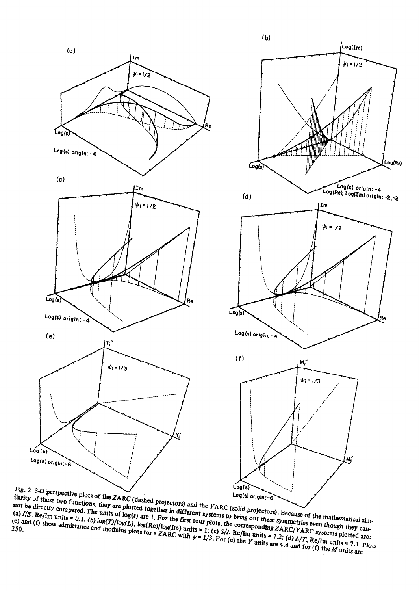



 $\int_{a}^{a}$   $\int_{a}^{b}$  Re/Im units = 0.1; *(b)* log(x) *are* 1. For the first The 2, 3 and perspective plots of the znn, (washed projectors) and the rm  $\kappa$ , (some projectors), because of the mannematical similarity of these two functions, they are plotted together in different systems to bring ou BETTLY OF THESE TWO TRIBUTEDS, The year plotted together in unreason, systems to order our these symmetries even mought they cannot be directly compared. The units of log(s) are 1. For the first four plots, the correspondi not be alrectly compared. I ne units of log(*T*)/log(*L*), log(Re)/log(Im) units = 1; (c) *S*/*I*, Re/Im units = 7.2; (d) *L*/*T*, Re/Im units = 7.1. Plots of 108 (*T*)/log(*L*), log(Re)/log(Im) units = 1; (c) *S*/*I*, Re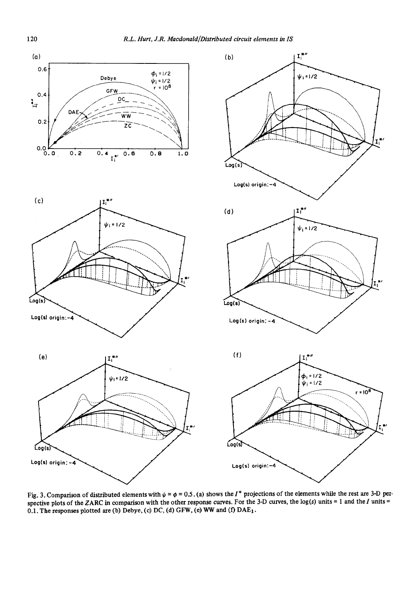

Fig. 3. Comparison of distributed elements with  $\psi = \phi = 0.5$ . (a) shows the  $I^*$  projections of the elements while the rest are 3-D perspective plots of the ZARC in comparison with the other response curves. For the 3-D curves, the  $log(s)$  units = 1 and the I units = 0.1. The responses plotted are (b) Debye, (c) DC, (d) GFW, (e) WW and (f)  $DAE_1$ .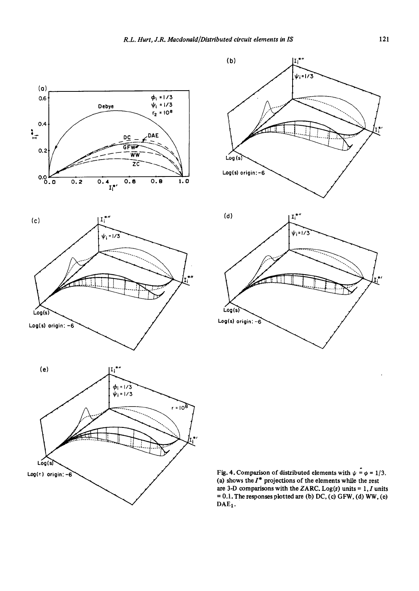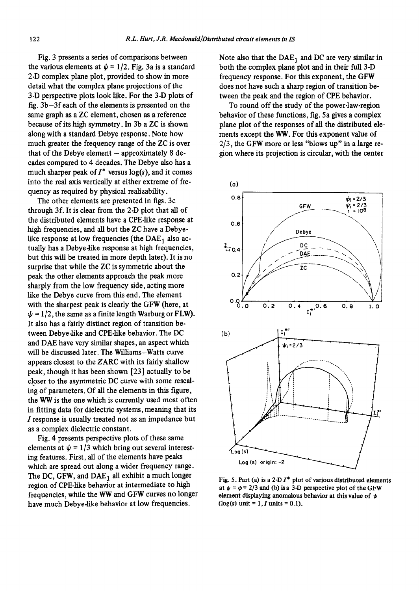Fig. 3 presents a series of comparisons between the various elements at  $\psi = 1/2$ . Fig. 3a is a standard 2-D complex plane plot, provided to show in more detail what the complex plane projections of the 3-D perspective plots look like. For the 3-D plots of fig. 3b-3f each of the elements is presented on the same graph as a ZC element, chosen as a reference because of its high symmetry. In 3b a ZC is shown along with a standard Debye response. Note how much greater the frequency range of the ZC is over that of the Debye element  $-$  approximately  $8$  decades compared to 4 decades. The Debye also has a much sharper peak of  $I^*$  versus log(s), and it comes into the real axis vertically at either extreme of frequency as required by physical realizability.

The other elements are presented in figs. 3c through 3f. It is clear from the 2-D plot that all of the distributed elements have a CPE-like response at high frequencies, and all but the ZC have a Debyelike response at low frequencies (the  $DAE<sub>1</sub>$  also actually has a Debye-like response at high frequencies, but this will be treated in more depth later). It is no surprise that while the ZC is symmetric about the peak the other elements approach the peak more sharply from the low frequency side, acting more like the Debye curve from this end. The element with the sharpest peak is clearly the GFW (here, at  $\psi = 1/2$ , the same as a finite length Warburg or FLW). It also has a fairly distinct region of transition between Debye-like and CPE-like behavior. The DC and DAE have very similar shapes, an aspect which will be discussed later. The Williams-Watts curve appears closest to the ZARC with its fairly shallow peak, though it has been shown [23] actually to be closer to the asymmetric DC curve with some rescaling of parameters. Of all the elements in this figure, the WW is the one which is currently used most often in fitting data for dielectric systems, meaning that its I response is usually treated not as an impedance but as a complex dielectric constant.

Fig. 4 presents perspective plots of these same elements at  $\psi = 1/3$  which bring out several interesting features. First, all of the elements have peaks which are spread out along a wider frequency range. The DC, GFW, and  $DAE_1$  all exhibit a much longer region of CPE-like behavior at intermediate to high frequencies, while the WW and GFW curves no longer have much Debye.like behavior at low frequencies.

Note also that the  $DAE_1$  and DC are very similar in both the complex plane plot and in their full 3-D frequency response. For this exponent, the GFW does not have such a sharp region of transition between the peak and the region of CPE behavior.

To round off the study of the power-law-region behavior of these functions, fig. 5a gives a complex plane plot of the responses of all the distributed elements except the WW. For this exponent value of 2/3, the GFW more or less "blows up" in a large region where its projection is circular, with the center



Fig. 5. Part (a) is a 2-D  $I^*$  plot of various distributed elements at  $\psi = \phi = 2/3$  and (b) is a 3-D perspective plot of the GFW element displaying anomalous behavior at this value of  $\psi$  $(\log(s)$  unit = 1, *I* units = 0.1).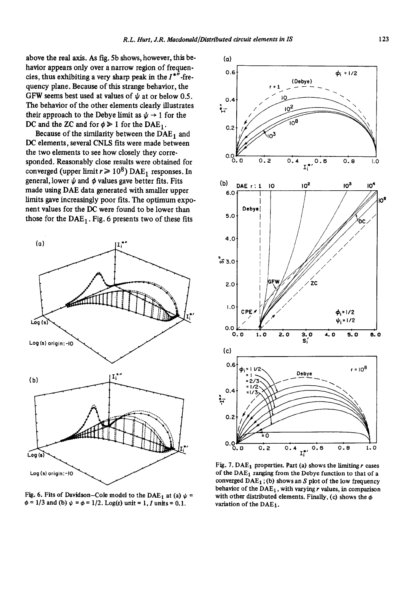above the real axis. As fig. 5b shows, however, this behavior appears only over a narrow region of frequencies, thus exhibiting a very sharp peak in the  $I^{**}$ -frequency plane. Because of this strange behavior, the GFW seems best used at values of  $\psi$  at or below 0.5. The behavior of the other elements clearly illustrates their approach to the Debye limit as  $\psi \rightarrow 1$  for the DC and the ZC and for  $\phi \geq 1$  for the DAE<sub>1</sub>.

Because of the similarity between the  $\overline{DAE}_1$  and DC elements, several CNLS fits were made between the two elements to see how closely they corresponded. Reasonably close results were obtained for converged (upper limit  $r \ge 10^8$ ) DAE<sub>1</sub> responses. In general, lower  $\psi$  and  $\phi$  values gave better fits. Fits made using DAE data generated with smaller upper limits gave increasingly poor fits. The optimum exponent values for the DC were found to be lower than those for the  $DAE_1$ . Fig. 6 presents two of these fits



Fig. 6. Fits of Davidson–Cole model to the DAE<sub>1</sub> at (a)  $\psi$  = with other distributed elements. Finally, (c) shows the  $\phi$  $\phi = 1/3$  and (b)  $\psi = \phi = 1/2$ . Log(s) unit = 1, I units = 0.1. variation of the DAE<sub>1</sub>.



Fig. 7. DAE<sub>1</sub> properties. Part (a) shows the limiting  $r$  cases converged  $DAE_1$ ; (b) shows an S plot of the low frequency behavior of the  $DAE_1$ , with varying r values, in comparison